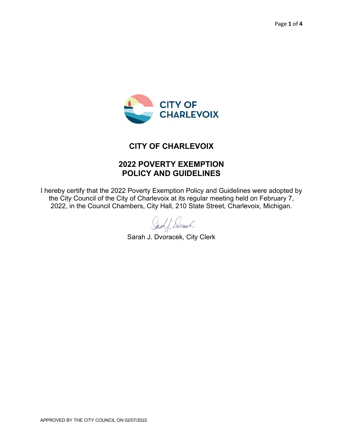

### **CITY OF CHARLEVOIX**

# **2022 POVERTY EXEMPTION POLICY AND GUIDELINES**

I hereby certify that the 2022 Poverty Exemption Policy and Guidelines were adopted by the City Council of the City of Charlevoix at its regular meeting held on February 7, 2022, in the Council Chambers, City Hall, 210 State Street, Charlevoix, Michigan.

Saich J. Dwood

Sarah J. Dvoracek, City Clerk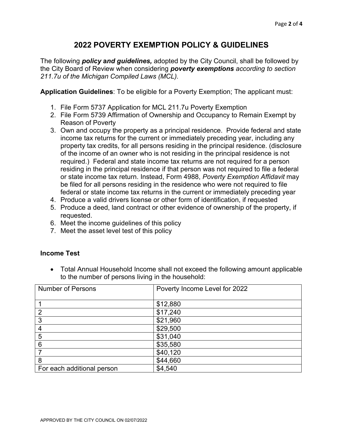## **2022 POVERTY EXEMPTION POLICY & GUIDELINES**

The following *policy* **a***nd guidelines,* adopted by the City Council, shall be followed by the City Board of Review when considering *poverty exemptions according to section 211.7u of the Michigan Compiled Laws (MCL).*

**Application Guidelines**: To be eligible for a Poverty Exemption; The applicant must:

- 1. File Form 5737 Application for MCL 211.7u Poverty Exemption
- 2. File Form 5739 Affirmation of Ownership and Occupancy to Remain Exempt by Reason of Poverty
- 3. Own and occupy the property as a principal residence. Provide federal and state income tax returns for the current or immediately preceding year, including any property tax credits, for all persons residing in the principal residence. (disclosure of the income of an owner who is not residing in the principal residence is not required.) Federal and state income tax returns are not required for a person residing in the principal residence if that person was not required to file a federal or state income tax return. Instead, Form 4988, *Poverty Exemption Affidavit* may be filed for all persons residing in the residence who were not required to file federal or state income tax returns in the current or immediately preceding year
- 4. Produce a valid drivers license or other form of identification, if requested
- 5. Produce a deed, land contract or other evidence of ownership of the property, if requested.
- 6. Meet the income guidelines of this policy
- 7. Meet the asset level test of this policy

#### **Income Test**

• Total Annual Household Income shall not exceed the following amount applicable to the number of persons living in the household:

| <b>Number of Persons</b>   | Poverty Income Level for 2022 |
|----------------------------|-------------------------------|
|                            |                               |
|                            | \$12,880                      |
| 2                          | \$17,240                      |
| 3                          | \$21,960                      |
| 4                          | \$29,500                      |
| 5                          | \$31,040                      |
| 6                          | \$35,580                      |
|                            | \$40,120                      |
| 8                          | \$44,660                      |
| For each additional person | \$4,540                       |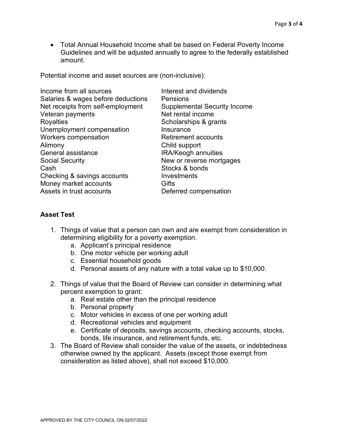• Total Annual Household Income shall be based on Federal Poverty Income Guidelines and will be adjusted annually to agree to the federally established amount.

Potential income and asset sources are (non-inclusive):

| Income from all sources            | Interest and dividends              |
|------------------------------------|-------------------------------------|
| Salaries & wages before deductions | Pensions                            |
| Net receipts from self-employment  | <b>Supplemental Security Income</b> |
| Veteran payments                   | Net rental income                   |
| <b>Royalties</b>                   | Scholarships & grants               |
| Unemployment compensation          | Insurance                           |
| Workers compensation               | <b>Retirement accounts</b>          |
| Alimony                            | Child support                       |
| General assistance                 | <b>IRA/Keogh annuities</b>          |
| <b>Social Security</b>             | New or reverse mortgages            |
| Cash                               | Stocks & bonds                      |
| Checking & savings accounts        | Investments                         |
| Money market accounts              | Gifts                               |
| Assets in trust accounts           | Deferred compensation               |
|                                    |                                     |

### **Asset Test**

- 1. Things of value that a person can own and are exempt from consideration in determining eligibility for a poverty exemption.
	- a. Applicant's principal residence
	- b. One motor vehicle per working adult
	- c. Essential household goods
	- d. Personal assets of any nature with a total value up to \$10,000.
- 2. Things of value that the Board of Review can consider in determining what percent exemption to grant:
	- a. Real estate other than the principal residence
	- b. Personal property
	- c. Motor vehicles in excess of one per working adult
	- d. Recreational vehicles and equipment
	- e. Certificate of deposits, savings accounts, checking accounts, stocks, bonds, life insurance, and retirement funds, etc.
- 3. The Board of Review shall consider the value of the assets, or indebtedness otherwise owned by the applicant. Assets (except those exempt from consideration as listed above), shall not exceed \$10,000.